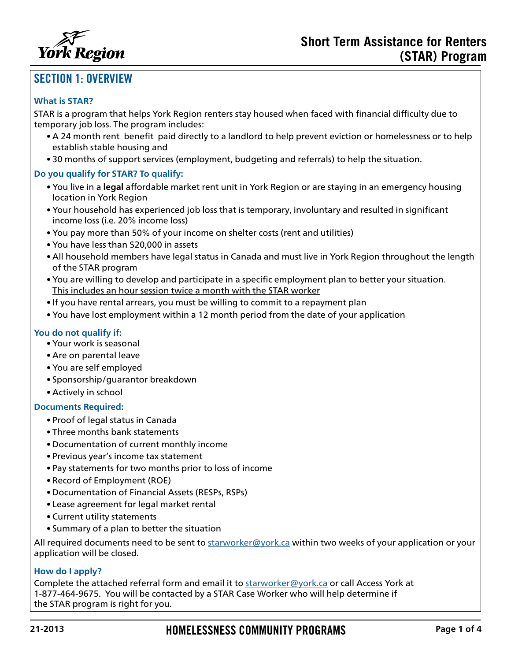

# SECTION 1: OVERVIEW

#### **What is STAR?**

STAR is a program that helps York Region renters stay housed when faced with financial difficulty due to temporary job loss. The program includes:

- A 24 month rent benefit paid directly to a landlord to help prevent eviction or homelessness or to help establish stable housing and
- 30 months of support services (employment, budgeting and referrals) to help the situation.

#### **Do you qualify for STAR? To qualify:**

- You live in a **legal** affordable market rent unit in York Region or are staying in an emergency housing location in York Region
- Your household has experienced job loss that is temporary, involuntary and resulted in significant income loss (i.e. 20% income loss)
- You pay more than 50% of your income on shelter costs (rent and utilities)
- You have less than \$20,000 in assets
- All household members have legal status in Canada and must live in York Region throughout the length of the STAR program
- You are willing to develop and participate in a specific employment plan to better your situation. This includes an hour session twice a month with the STAR worker
- If you have rental arrears, you must be willing to commit to a repayment plan
- You have lost employment within a 12 month period from the date of your application

#### **You do not qualify if:**

- Your work is seasonal
- Are on parental leave
- You are self employed
- Sponsorship/guarantor breakdown
- Actively in school

### **Documents Required:**

- Proof of legal status in Canada
- Three months bank statements
- Documentation of current monthly income
- Previous year's income tax statement
- Pay statements for two months prior to loss of income
- Record of Employment (ROE)
- Documentation of Financial Assets (RESPs, RSPs)
- Lease agreement for legal market rental
- Current utility statements
- Summary of a plan to better the situation

All required documents need to be sent to [starworker@york.ca](mailto:starworker%40york.ca?subject=Stars%20Program) within two weeks of your application or your application will be closed.

#### **How do I apply?**

Complete the attached referral form and email it to [starworker@york.ca](mailto:starworker%40york.ca?subject=) or call Access York at 1-877-464-9675. You will be contacted by a STAR Case Worker who will help determine if the STAR program is right for you.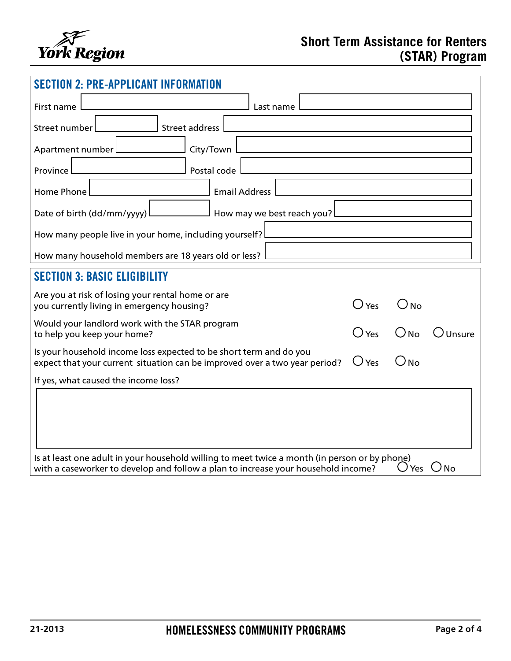

| <b>SECTION 2: PRE-APPLICANT INFORMATI</b>                                                                                                                                                                  |               |                         |        |  |  |
|------------------------------------------------------------------------------------------------------------------------------------------------------------------------------------------------------------|---------------|-------------------------|--------|--|--|
| First name<br>Last name                                                                                                                                                                                    |               |                         |        |  |  |
| <b>Street address</b><br>Street number                                                                                                                                                                     |               |                         |        |  |  |
| City/Town<br>Apartment number                                                                                                                                                                              |               |                         |        |  |  |
| Postal code<br>Province                                                                                                                                                                                    |               |                         |        |  |  |
| <b>Email Address</b><br><b>Home Phone</b>                                                                                                                                                                  |               |                         |        |  |  |
| Date of birth (dd/mm/yyyy)<br>How may we best reach you?                                                                                                                                                   |               |                         |        |  |  |
| How many people live in your home, including yourself?                                                                                                                                                     |               |                         |        |  |  |
| How many household members are 18 years old or less?                                                                                                                                                       |               |                         |        |  |  |
| <b>SECTION 3: BASIC ELIGIBILITY</b>                                                                                                                                                                        |               |                         |        |  |  |
| Are you at risk of losing your rental home or are<br>you currently living in emergency housing?                                                                                                            | $\bigcup$ Yes | $\cup$ No               |        |  |  |
| Would your landlord work with the STAR program<br>to help you keep your home?                                                                                                                              | Yes           | $\bigcap_{\mathsf{No}}$ | Unsure |  |  |
| Is your household income loss expected to be short term and do you<br>expect that your current situation can be improved over a two year period?                                                           | Yes           | No                      |        |  |  |
| If yes, what caused the income loss?                                                                                                                                                                       |               |                         |        |  |  |
|                                                                                                                                                                                                            |               |                         |        |  |  |
| Is at least one adult in your household willing to meet twice a month (in person or by phone)<br>$\cup$ Yes $\cup$ No<br>with a caseworker to develop and follow a plan to increase your household income? |               |                         |        |  |  |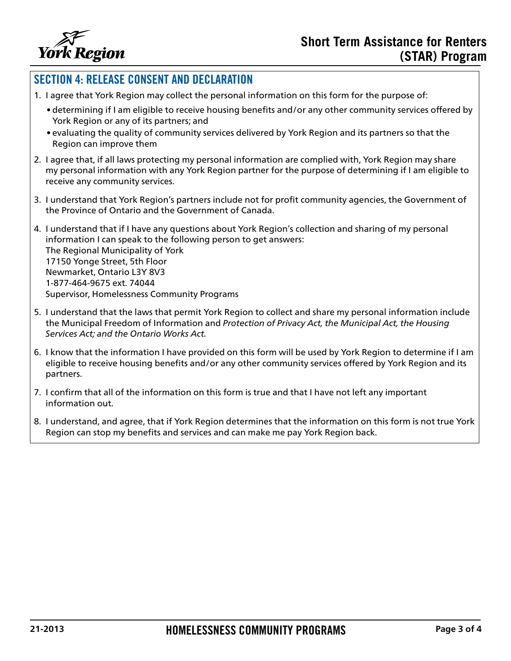

## SECTION 4: RELEASE CONSENT AND DECLARATION

- 1. I agree that York Region may collect the personal information on this form for the purpose of:
	- determining if I am eligible to receive housing benefits and/or any other community services offered by York Region or any of its partners; and
	- evaluating the quality of community services delivered by York Region and its partners so that the Region can improve them
- 2. I agree that, if all laws protecting my personal information are complied with, York Region may share my personal information with any York Region partner for the purpose of determining if I am eligible to receive any community services.
- 3. I understand that York Region's partners include not for profit community agencies, the Government of the Province of Ontario and the Government of Canada.
- 4. I understand that if I have any questions about York Region's collection and sharing of my personal information I can speak to the following person to get answers: The Regional Municipality of York 17150 Yonge Street, 5th Floor Newmarket, Ontario L3Y 8V3 1-877-464-9675 ext. 74044 Supervisor, Homelessness Community Programs
- 5. I understand that the laws that permit York Region to collect and share my personal information include the Municipal Freedom of Information and *Protection of Privacy Act, the Municipal Act, the Housing Services Act; and the Ontario Works Act.*
- 6. I know that the information I have provided on this form will be used by York Region to determine if I am eligible to receive housing benefits and/or any other community services offered by York Region and its partners.
- 7. I confirm that all of the information on this form is true and that I have not left any important information out.
- 8. I understand, and agree, that if York Region determines that the information on this form is not true York Region can stop my benefits and services and can make me pay York Region back.